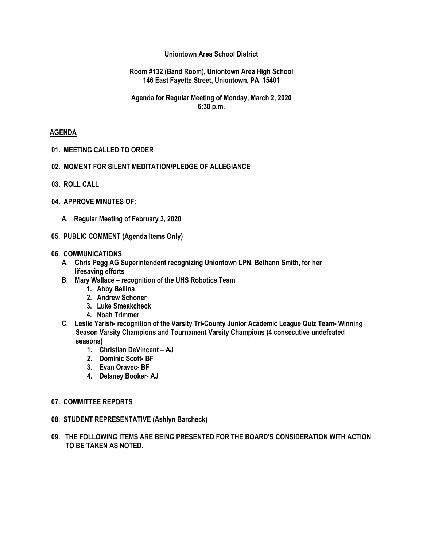#### **Uniontown Area School District**

#### **Room #132 (Band Room), Uniontown Area High School 146 East Fayette Street, Uniontown, PA 15401**

#### **Agenda for Regular Meeting of Monday, March 2, 2020 6:30 p.m.**

#### **AGENDA**

- **01. MEETING CALLED TO ORDER**
- **02. MOMENT FOR SILENT MEDITATION/PLEDGE OF ALLEGIANCE**
- **03. ROLL CALL**
- **04. APPROVE MINUTES OF:**
	- **A. Regular Meeting of February 3, 2020**
- **05. PUBLIC COMMENT (Agenda Items Only)**

#### **06. COMMUNICATIONS**

- **A. Chris Pegg AG Superintendent recognizing Uniontown LPN, Bethann Smith, for her lifesaving efforts**
- **B. Mary Wallace – recognition of the UHS Robotics Team**
	- **1. Abby Bellina**
	- **2. Andrew Schoner**
	- **3. Luke Smeakcheck**
	- **4. Noah Trimmer**
- **C. Leslie Yarish- recognition of the Varsity Tri-County Junior Academic League Quiz Team- Winning Season Varsity Champions and Tournament Varsity Champions (4 consecutive undefeated seasons)**
	- **1. Christian DeVincent – AJ**
	- **2. Dominic Scott- BF**
	- **3. Evan Oravec- BF**
	- **4. Delaney Booker- AJ**
- **07. COMMITTEE REPORTS**
- **08. STUDENT REPRESENTATIVE (Ashlyn Barcheck)**
- **09. THE FOLLOWING ITEMS ARE BEING PRESENTED FOR THE BOARD'S CONSIDERATION WITH ACTION TO BE TAKEN AS NOTED.**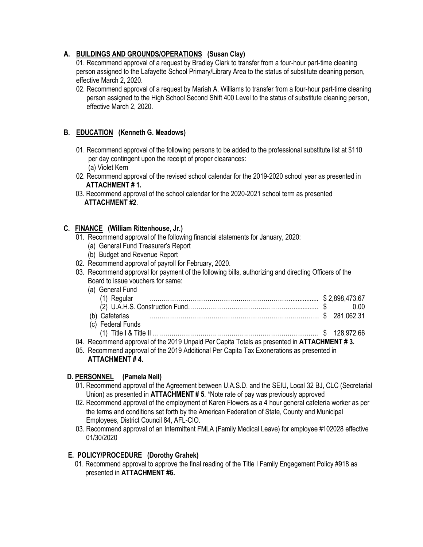# **A. BUILDINGS AND GROUNDS/OPERATIONS (Susan Clay)**

01. Recommend approval of a request by Bradley Clark to transfer from a four-hour part-time cleaning person assigned to the Lafayette School Primary/Library Area to the status of substitute cleaning person, effective March 2, 2020.

02. Recommend approval of a request by Mariah A. Williams to transfer from a four-hour part-time cleaning person assigned to the High School Second Shift 400 Level to the status of substitute cleaning person, effective March 2, 2020.

# **B. EDUCATION (Kenneth G. Meadows)**

- 01. Recommend approval of the following persons to be added to the professional substitute list at \$110 per day contingent upon the receipt of proper clearances: (a) Violet Kern
- 02. Recommend approval of the revised school calendar for the 2019-2020 school year as presented in  **ATTACHMENT # 1.**
- 03. Recommend approval of the school calendar for the 2020-2021 school term as presented **ATTACHMENT #2**.

### **C. FINANCE (William Rittenhouse, Jr.)**

- 01. Recommend approval of the following financial statements for January, 2020:
	- (a) General Fund Treasurer's Report
	- (b) Budget and Revenue Report
- 02. Recommend approval of payroll for February, 2020.
- 03. Recommend approval for payment of the following bills, authorizing and directing Officers of the Board to issue vouchers for same:
	- (a) General Fund

| (b) Cafeterias 281.062.31                                                                  |  |  |
|--------------------------------------------------------------------------------------------|--|--|
| (c) Federal Funds                                                                          |  |  |
|                                                                                            |  |  |
| 04. Recommend approval of the 2019 Unpaid Per Capita Totals as presented in ATTACHMENT #3. |  |  |

05. Recommend approval of the 2019 Additional Per Capita Tax Exonerations as presented in **ATTACHMENT # 4.**

### **D. PERSONNEL (Pamela Neil)**

- 01. Recommend approval of the Agreement between U.A.S.D. and the SEIU, Local 32 BJ, CLC (Secretarial Union) as presented in **ATTACHMENT # 5**. \*Note rate of pay was previously approved
- 02. Recommend approval of the employment of Karen Flowers as a 4 hour general cafeteria worker as per the terms and conditions set forth by the American Federation of State, County and Municipal Employees, District Council 84, AFL-CIO.
- 03. Recommend approval of an Intermittent FMLA (Family Medical Leave) for employee #102028 effective 01/30/2020

#### **E. POLICY/PROCEDURE (Dorothy Grahek)**

01. Recommend approval to approve the final reading of the Title I Family Engagement Policy #918 as presented in **ATTACHMENT #6.**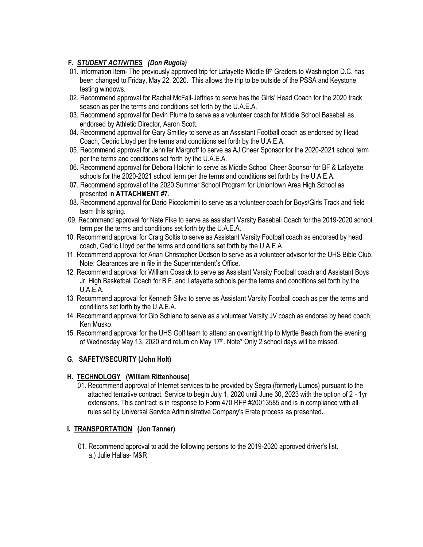# **F***. STUDENT ACTIVITIES (Don Rugola)*

- 01. Information Item- The previously approved trip for Lafayette Middle  $8<sup>th</sup>$  Graders to Washington D.C. has been changed to Friday, May 22, 2020. This allows the trip to be outside of the PSSA and Keystone testing windows.
- 02. Recommend approval for Rachel McFall-Jeffries to serve has the Girls' Head Coach for the 2020 track season as per the terms and conditions set forth by the U.A.E.A.
- 03. Recommend approval for Devin Plume to serve as a volunteer coach for Middle School Baseball as endorsed by Athletic Director, Aaron Scott.
- 04. Recommend approval for Gary Smitley to serve as an Assistant Football coach as endorsed by Head Coach, Cedric Lloyd per the terms and conditions set forth by the U.A.E.A.
- 05. Recommend approval for Jennifer Margroff to serve as AJ Cheer Sponsor for the 2020-2021 school term per the terms and conditions set forth by the U.A.E.A.
- 06. Recommend approval for Debora Holchin to serve as Middle School Cheer Sponsor for BF & Lafayette schools for the 2020-2021 school term per the terms and conditions set forth by the U.A.E.A.
- 07. Recommend approval of the 2020 Summer School Program for Uniontown Area High School as presented in **ATTACHMENT #7**.
- 08. Recommend approval for Dario Piccolomini to serve as a volunteer coach for Boys/Girls Track and field team this spring.
- 09. Recommend approval for Nate Fike to serve as assistant Varsity Baseball Coach for the 2019-2020 school term per the terms and conditions set forth by the U.A.E.A.
- 10. Recommend approval for Craig Soltis to serve as Assistant Varsity Football coach as endorsed by head coach, Cedric Lloyd per the terms and conditions set forth by the U.A.E.A.
- 11. Recommend approval for Arian Christopher Dodson to serve as a volunteer advisor for the UHS Bible Club. Note: Clearances are in file in the Superintendent's Office.
- 12. Recommend approval for William Cossick to serve as Assistant Varsity Football coach and Assistant Boys Jr. High Basketball Coach for B.F. and Lafayette schools per the terms and conditions set forth by the U.A.E.A.
- 13. Recommend approval for Kenneth Silva to serve as Assistant Varsity Football coach as per the terms and conditions set forth by the U.A.E.A.
- 14. Recommend approval for Gio Schiano to serve as a volunteer Varsity JV coach as endorse by head coach, Ken Musko.
- 15. Recommend approval for the UHS Golf team to attend an overnight trip to Myrtle Beach from the evening of Wednesday May 13, 2020 and return on May 17<sup>th</sup>. Note\* Only 2 school days will be missed.

### **G. SAFETY/SECURITY (John Holt)**

### **H. TECHNOLOGY (William Rittenhouse)**

01. Recommend approval of Internet services to be provided by Segra (formerly Lumos) pursuant to the attached tentative contract. Service to begin July 1, 2020 until June 30, 2023 with the option of 2 - 1yr extensions. This contract is in response to Form 470 RFP #20013585 and is in compliance with all rules set by Universal Service Administrative Company's Erate process as presented**.**

### **I. TRANSPORTATION (Jon Tanner)**

01. Recommend approval to add the following persons to the 2019-2020 approved driver's list. a.) Julie Hallas- M&R